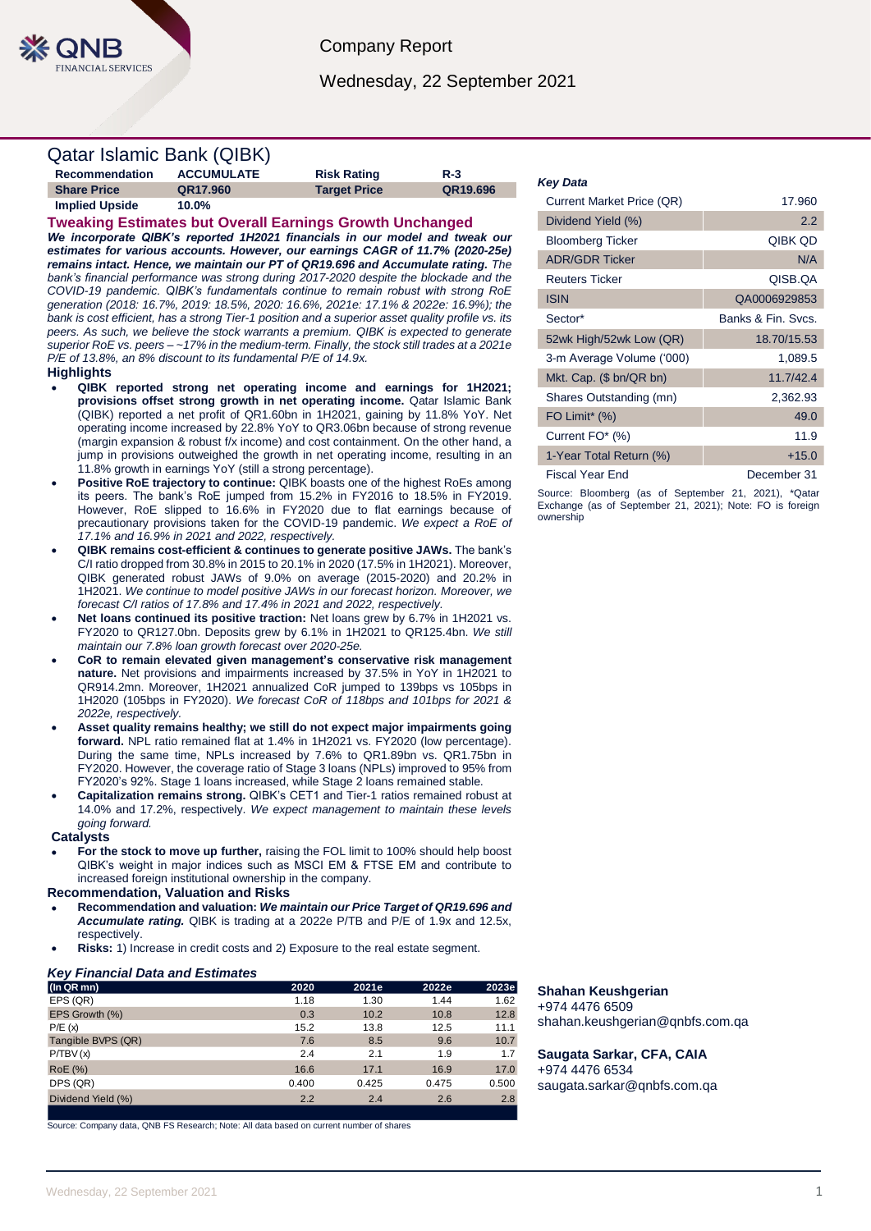Company Report

Wednesday, 22 September 2021

# Qatar Islamic Bank (QIBK)

| Recommendation     | <b>ACCUMULATE</b> | <b>Risk Rating</b>  | $R-3$    |
|--------------------|-------------------|---------------------|----------|
| <b>Share Price</b> | QR17.960          | <b>Target Price</b> | QR19.696 |
| Implied Upside     | $10.0\%$          |                     |          |

## **Tweaking Estimates but Overall Earnings Growth Unchanged**

*We incorporate QIBK's reported 1H2021 financials in our model and tweak our estimates for various accounts. However, our earnings CAGR of 11.7% (2020-25e) remains intact. Hence, we maintain our PT of QR19.696 and Accumulate rating. The bank's financial performance was strong during 2017-2020 despite the blockade and the COVID-19 pandemic. QIBK's fundamentals continue to remain robust with strong RoE generation (2018: 16.7%, 2019: 18.5%, 2020: 16.6%, 2021e: 17.1% & 2022e: 16.9%); the bank is cost efficient, has a strong Tier-1 position and a superior asset quality profile vs. its peers. As such, we believe the stock warrants a premium. QIBK is expected to generate superior RoE vs. peers – ~17% in the medium-term. Finally, the stock still trades at a 2021e P/E of 13.8%, an 8% discount to its fundamental P/E of 14.9x.*

### **Highlights**

- **QIBK reported strong net operating income and earnings for 1H2021; provisions offset strong growth in net operating income.** Qatar Islamic Bank (QIBK) reported a net profit of QR1.60bn in 1H2021, gaining by 11.8% YoY. Net operating income increased by 22.8% YoY to QR3.06bn because of strong revenue (margin expansion & robust f/x income) and cost containment. On the other hand, a jump in provisions outweighed the growth in net operating income, resulting in an 11.8% growth in earnings YoY (still a strong percentage).
- **Positive RoE trajectory to continue:** QIBK boasts one of the highest RoEs among its peers. The bank's RoE jumped from 15.2% in FY2016 to 18.5% in FY2019. However, RoE slipped to 16.6% in FY2020 due to flat earnings because of precautionary provisions taken for the COVID-19 pandemic. *We expect a RoE of 17.1% and 16.9% in 2021 and 2022, respectively.*
- **QIBK remains cost-efficient & continues to generate positive JAWs.** The bank's C/I ratio dropped from 30.8% in 2015 to 20.1% in 2020 (17.5% in 1H2021). Moreover, QIBK generated robust JAWs of 9.0% on average (2015-2020) and 20.2% in 1H2021. *We continue to model positive JAWs in our forecast horizon. Moreover, we forecast C/I ratios of 17.8% and 17.4% in 2021 and 2022, respectively.*
- **Net loans continued its positive traction:** Net loans grew by 6.7% in 1H2021 vs. FY2020 to QR127.0bn. Deposits grew by 6.1% in 1H2021 to QR125.4bn. *We still maintain our 7.8% loan growth forecast over 2020-25e.*
- **CoR to remain elevated given management's conservative risk management nature.** Net provisions and impairments increased by 37.5% in YoY in 1H2021 to QR914.2mn. Moreover, 1H2021 annualized CoR jumped to 139bps vs 105bps in 1H2020 (105bps in FY2020). *We forecast CoR of 118bps and 101bps for 2021 & 2022e, respectively.*
- **Asset quality remains healthy; we still do not expect major impairments going forward.** NPL ratio remained flat at 1.4% in 1H2021 vs. FY2020 (low percentage). During the same time, NPLs increased by 7.6% to QR1.89bn vs. QR1.75bn in FY2020. However, the coverage ratio of Stage 3 loans (NPLs) improved to 95% from FY2020's 92%. Stage 1 loans increased, while Stage 2 loans remained stable.
- **Capitalization remains strong.** QIBK's CET1 and Tier-1 ratios remained robust at 14.0% and 17.2%, respectively. *We expect management to maintain these levels going forward.*

#### **Catalysts**

 **For the stock to move up further,** raising the FOL limit to 100% should help boost QIBK's weight in major indices such as MSCI EM & FTSE EM and contribute to increased foreign institutional ownership in the company.

#### **Recommendation, Valuation and Risks**

- **Recommendation and valuation:** *We maintain our Price Target of QR19.696 and Accumulate rating.* QIBK is trading at a 2022e P/TB and P/E of 1.9x and 12.5x, respectively.
- **Risks:** 1) Increase in credit costs and 2) Exposure to the real estate segment.

#### *Key Financial Data and Estimates*

| (In QR mn)         | 2020  | 2021e | 2022e | 2023e |
|--------------------|-------|-------|-------|-------|
| EPS (QR)           | 1.18  | 1.30  | 1.44  | 1.62  |
| EPS Growth (%)     | 0.3   | 10.2  | 10.8  | 12.8  |
| P/E(x)             | 15.2  | 13.8  | 12.5  | 11.1  |
| Tangible BVPS (QR) | 7.6   | 8.5   | 9.6   | 10.7  |
| P/TBV(x)           | 2.4   | 2.1   | 1.9   | 1.7   |
| <b>RoE</b> (%)     | 16.6  | 17.1  | 16.9  | 17.0  |
| DPS (QR)           | 0.400 | 0.425 | 0.475 | 0.500 |
| Dividend Yield (%) | 2.2   | 2.4   | 2.6   | 2.8   |
|                    |       |       |       |       |

Source: Company data, QNB FS Research; Note: All data based on current number of shares

#### *Key Data*

| Current Market Price (QR)    | 17.960             |
|------------------------------|--------------------|
| Dividend Yield (%)           | 2.2                |
| <b>Bloomberg Ticker</b>      | QIBK QD            |
| <b>ADR/GDR Ticker</b>        | N/A                |
| <b>Reuters Ticker</b>        | OISB.OA            |
| <b>ISIN</b>                  | QA0006929853       |
| Sector*                      | Banks & Fin. Sycs. |
| 52wk High/52wk Low (QR)      | 18.70/15.53        |
| 3-m Average Volume ('000)    | 1,089.5            |
| Mkt. Cap. (\$ bn/QR bn)      | 11.7/42.4          |
| Shares Outstanding (mn)      | 2,362.93           |
| FO Limit <sup>*</sup> $(\%)$ | 49.0               |
| Current FO* (%)              | 11.9               |
| 1-Year Total Return (%)      | $+15.0$            |
| Fiscal Year End              | December 31        |

Source: Bloomberg (as of September 21, 2021), \*Qatar Exchange (as of September 21, 2021); Note: FO is foreign ownership

## **Shahan Keushgerian**

+974 4476 6509 shahan.keushgerian@qnbfs.com.qa

**Saugata Sarkar, CFA, CAIA** +974 4476 6534 saugata.sarkar@qnbfs.com.qa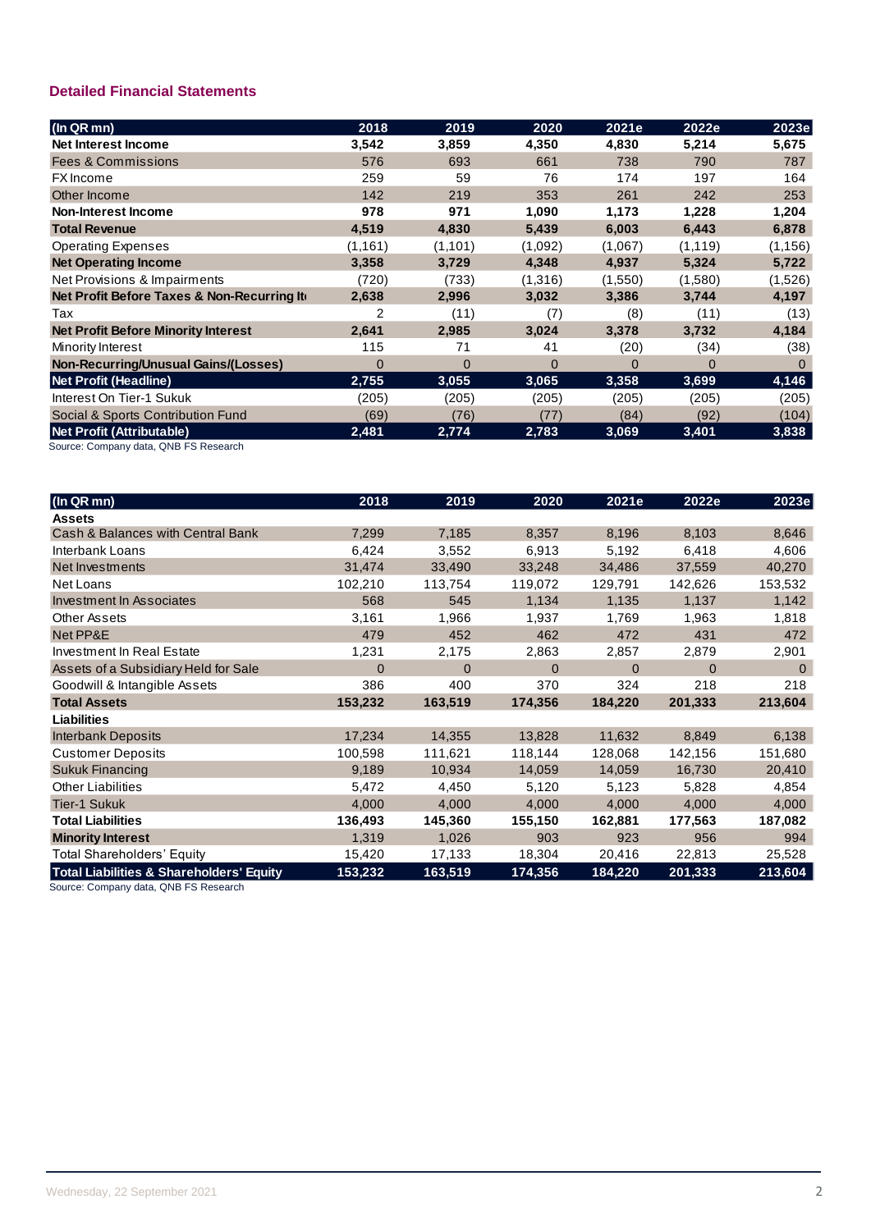## **Detailed Financial Statements**

| (In QR mn)                                 | 2018         | 2019     | 2020     | 2021e    | 2022e    | 2023e    |
|--------------------------------------------|--------------|----------|----------|----------|----------|----------|
| Net Interest Income                        | 3,542        | 3,859    | 4,350    | 4,830    | 5,214    | 5,675    |
| <b>Fees &amp; Commissions</b>              | 576          | 693      | 661      | 738      | 790      | 787      |
| <b>FX</b> Income                           | 259          | 59       | 76       | 174      | 197      | 164      |
| Other Income                               | 142          | 219      | 353      | 261      | 242      | 253      |
| <b>Non-Interest Income</b>                 | 978          | 971      | 1,090    | 1,173    | 1,228    | 1,204    |
| <b>Total Revenue</b>                       | 4,519        | 4,830    | 5,439    | 6,003    | 6,443    | 6,878    |
| <b>Operating Expenses</b>                  | (1, 161)     | (1,101)  | (1,092)  | (1,067)  | (1, 119) | (1, 156) |
| <b>Net Operating Income</b>                | 3,358        | 3,729    | 4,348    | 4,937    | 5,324    | 5,722    |
| Net Provisions & Impairments               | (720)        | (733)    | (1,316)  | (1,550)  | (1,580)  | (1,526)  |
| Net Profit Before Taxes & Non-Recurring It | 2,638        | 2,996    | 3,032    | 3,386    | 3,744    | 4,197    |
| Tax                                        | 2            | (11)     | (7)      | (8)      | (11)     | (13)     |
| <b>Net Profit Before Minority Interest</b> | 2,641        | 2,985    | 3,024    | 3,378    | 3,732    | 4,184    |
| Minority Interest                          | 115          | 71       | 41       | (20)     | (34)     | (38)     |
| Non-Recurring/Unusual Gains/(Losses)       | $\mathbf{0}$ | $\Omega$ | $\Omega$ | $\Omega$ | $\Omega$ | $\Omega$ |
| <b>Net Profit (Headline)</b>               | 2,755        | 3,055    | 3,065    | 3,358    | 3,699    | 4,146    |
| Interest On Tier-1 Sukuk                   | (205)        | (205)    | (205)    | (205)    | (205)    | (205)    |
| Social & Sports Contribution Fund          | (69)         | (76)     | (77)     | (84)     | (92)     | (104)    |
| Net Profit (Attributable)                  | 2,481        | 2,774    | 2,783    | 3,069    | 3,401    | 3,838    |

Source: Company data, QNB FS Research

| (In QR mn)                                          | 2018           | 2019     | 2020     | 2021e    | 2022e    | 2023e    |
|-----------------------------------------------------|----------------|----------|----------|----------|----------|----------|
| <b>Assets</b>                                       |                |          |          |          |          |          |
| Cash & Balances with Central Bank                   | 7,299          | 7,185    | 8,357    | 8,196    | 8,103    | 8,646    |
| Interbank Loans                                     | 6,424          | 3,552    | 6,913    | 5,192    | 6,418    | 4,606    |
| Net Investments                                     | 31,474         | 33,490   | 33,248   | 34,486   | 37,559   | 40,270   |
| Net Loans                                           | 102,210        | 113,754  | 119,072  | 129,791  | 142,626  | 153,532  |
| <b>Investment In Associates</b>                     | 568            | 545      | 1,134    | 1,135    | 1,137    | 1,142    |
| Other Assets                                        | 3,161          | 1,966    | 1,937    | 1,769    | 1,963    | 1,818    |
| Net PP&E                                            | 479            | 452      | 462      | 472      | 431      | 472      |
| Investment In Real Estate                           | 1,231          | 2,175    | 2,863    | 2,857    | 2,879    | 2,901    |
| Assets of a Subsidiary Held for Sale                | $\overline{0}$ | $\Omega$ | $\Omega$ | $\Omega$ | $\Omega$ | $\Omega$ |
| Goodwill & Intangible Assets                        | 386            | 400      | 370      | 324      | 218      | 218      |
| <b>Total Assets</b>                                 | 153,232        | 163,519  | 174,356  | 184,220  | 201,333  | 213,604  |
| <b>Liabilities</b>                                  |                |          |          |          |          |          |
| <b>Interbank Deposits</b>                           | 17,234         | 14,355   | 13,828   | 11,632   | 8,849    | 6,138    |
| <b>Customer Deposits</b>                            | 100,598        | 111,621  | 118,144  | 128,068  | 142,156  | 151,680  |
| Sukuk Financing                                     | 9,189          | 10,934   | 14,059   | 14,059   | 16,730   | 20,410   |
| <b>Other Liabilities</b>                            | 5,472          | 4,450    | 5,120    | 5,123    | 5,828    | 4,854    |
| <b>Tier-1 Sukuk</b>                                 | 4,000          | 4,000    | 4,000    | 4,000    | 4,000    | 4,000    |
| <b>Total Liabilities</b>                            | 136,493        | 145,360  | 155,150  | 162,881  | 177,563  | 187,082  |
| <b>Minority Interest</b>                            | 1,319          | 1,026    | 903      | 923      | 956      | 994      |
| Total Shareholders' Equity                          | 15,420         | 17,133   | 18,304   | 20,416   | 22,813   | 25,528   |
| <b>Total Liabilities &amp; Shareholders' Equity</b> | 153,232        | 163,519  | 174,356  | 184,220  | 201,333  | 213,604  |

Source: Company data, QNB FS Research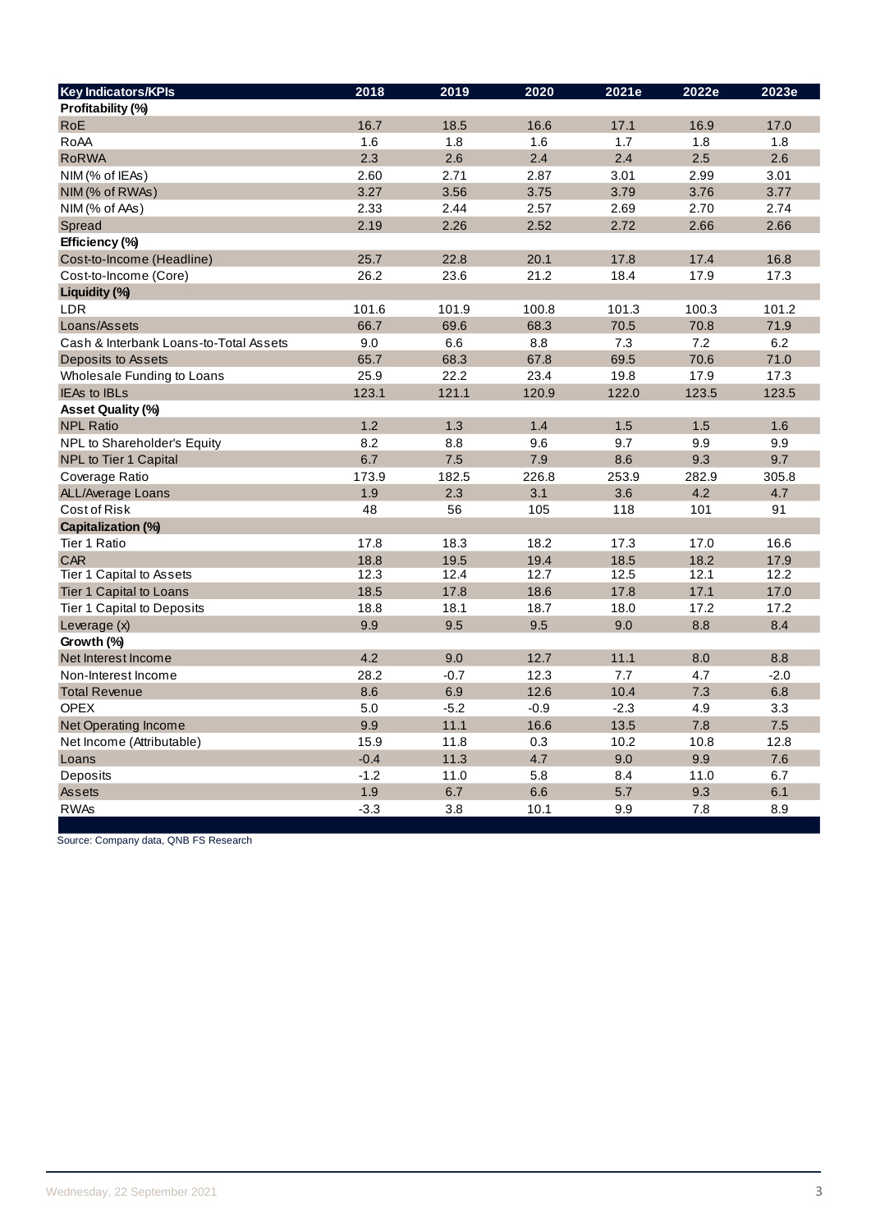| <b>Key Indicators/KPIs</b>             | 2018   | 2019   | 2020   | 2021e  | 2022e | 2023e  |
|----------------------------------------|--------|--------|--------|--------|-------|--------|
| Profitability (%)                      |        |        |        |        |       |        |
| <b>RoE</b>                             | 16.7   | 18.5   | 16.6   | 17.1   | 16.9  | 17.0   |
| RoAA                                   | 1.6    | 1.8    | 1.6    | 1.7    | 1.8   | 1.8    |
| <b>RoRWA</b>                           | 2.3    | 2.6    | 2.4    | 2.4    | 2.5   | 2.6    |
| NIM (% of IEAs)                        | 2.60   | 2.71   | 2.87   | 3.01   | 2.99  | 3.01   |
| NIM (% of RWAs)                        | 3.27   | 3.56   | 3.75   | 3.79   | 3.76  | 3.77   |
| NIM (% of AAs)                         | 2.33   | 2.44   | 2.57   | 2.69   | 2.70  | 2.74   |
| Spread                                 | 2.19   | 2.26   | 2.52   | 2.72   | 2.66  | 2.66   |
| Efficiency (%)                         |        |        |        |        |       |        |
| Cost-to-Income (Headline)              | 25.7   | 22.8   | 20.1   | 17.8   | 17.4  | 16.8   |
| Cost-to-Income (Core)                  | 26.2   | 23.6   | 21.2   | 18.4   | 17.9  | 17.3   |
| Liquidity (%)                          |        |        |        |        |       |        |
| LDR                                    | 101.6  | 101.9  | 100.8  | 101.3  | 100.3 | 101.2  |
| Loans/Assets                           | 66.7   | 69.6   | 68.3   | 70.5   | 70.8  | 71.9   |
| Cash & Interbank Loans-to-Total Assets | 9.0    | 6.6    | 8.8    | 7.3    | 7.2   | 6.2    |
| Deposits to Assets                     | 65.7   | 68.3   | 67.8   | 69.5   | 70.6  | 71.0   |
| Wholesale Funding to Loans             | 25.9   | 22.2   | 23.4   | 19.8   | 17.9  | 17.3   |
| <b>IEAs to IBLs</b>                    | 123.1  | 121.1  | 120.9  | 122.0  | 123.5 | 123.5  |
| <b>Asset Quality (%)</b>               |        |        |        |        |       |        |
| <b>NPL Ratio</b>                       | 1.2    | 1.3    | 1.4    | 1.5    | 1.5   | 1.6    |
| NPL to Shareholder's Equity            | 8.2    | 8.8    | 9.6    | 9.7    | 9.9   | 9.9    |
| <b>NPL to Tier 1 Capital</b>           | 6.7    | 7.5    | 7.9    | 8.6    | 9.3   | 9.7    |
| Coverage Ratio                         | 173.9  | 182.5  | 226.8  | 253.9  | 282.9 | 305.8  |
| ALL/Average Loans                      | 1.9    | 2.3    | 3.1    | 3.6    | 4.2   | 4.7    |
| Cost of Risk                           | 48     | 56     | 105    | 118    | 101   | 91     |
| Capitalization (%)                     |        |        |        |        |       |        |
| Tier 1 Ratio                           | 17.8   | 18.3   | 18.2   | 17.3   | 17.0  | 16.6   |
| <b>CAR</b>                             | 18.8   | 19.5   | 19.4   | 18.5   | 18.2  | 17.9   |
| Tier 1 Capital to Assets               | 12.3   | 12.4   | 12.7   | 12.5   | 12.1  | 12.2   |
| Tier 1 Capital to Loans                | 18.5   | 17.8   | 18.6   | 17.8   | 17.1  | 17.0   |
| Tier 1 Capital to Deposits             | 18.8   | 18.1   | 18.7   | 18.0   | 17.2  | 17.2   |
| Leverage (x)                           | 9.9    | 9.5    | 9.5    | 9.0    | 8.8   | 8.4    |
| Growth (%)                             |        |        |        |        |       |        |
| Net Interest Income                    | 4.2    | 9.0    | 12.7   | 11.1   | 8.0   | 8.8    |
| Non-Interest Income                    | 28.2   | $-0.7$ | 12.3   | 7.7    | 4.7   | $-2.0$ |
| <b>Total Revenue</b>                   | 8.6    | 6.9    | 12.6   | 10.4   | 7.3   | 6.8    |
| <b>OPEX</b>                            | 5.0    | $-5.2$ | $-0.9$ | $-2.3$ | 4.9   | 3.3    |
| <b>Net Operating Income</b>            | 9.9    | 11.1   | 16.6   | 13.5   | 7.8   | 7.5    |
| Net Income (Attributable)              | 15.9   | 11.8   | 0.3    | 10.2   | 10.8  | 12.8   |
| Loans                                  | $-0.4$ | 11.3   | 4.7    | 9.0    | 9.9   | 7.6    |
| Deposits                               | $-1.2$ | 11.0   | 5.8    | 8.4    | 11.0  | 6.7    |
| <b>Assets</b>                          | 1.9    | 6.7    | 6.6    | 5.7    | 9.3   | 6.1    |
| <b>RWAs</b>                            | $-3.3$ | 3.8    | 10.1   | 9.9    | 7.8   | 8.9    |

Source: Company data, QNB FS Research